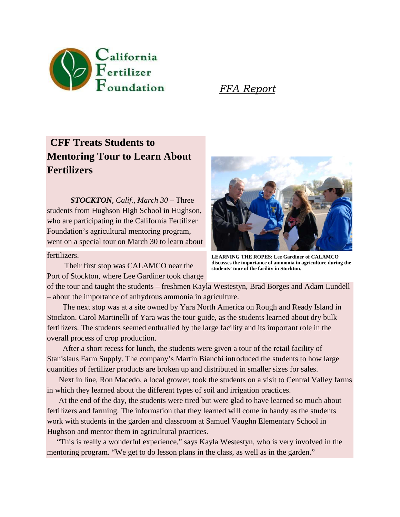

FFA Report

## **CFF Treats Students to Mentoring Tour to Learn About Fertilizers**

 *STOCKTON, Calif., March 30* – Three students from Hughson High School in Hughson, who are participating in the California Fertilizer Foundation's agricultural mentoring program, went on a special tour on March 30 to learn about

## fertilizers.

 Their first stop was CALAMCO near the Port of Stockton, where Lee Gardiner took charge



**LEARNING THE ROPES: Lee Gardiner of CALAMCO discusses the importance of ammonia in agriculture during the students' tour of the facility in Stockton.**

of the tour and taught the students – freshmen Kayla Westestyn, Brad Borges and Adam Lundell – about the importance of anhydrous ammonia in agriculture.

 The next stop was at a site owned by Yara North America on Rough and Ready Island in Stockton. Carol Martinelli of Yara was the tour guide, as the students learned about dry bulk fertilizers. The students seemed enthralled by the large facility and its important role in the overall process of crop production.

 After a short recess for lunch, the students were given a tour of the retail facility of Stanislaus Farm Supply. The company's Martin Bianchi introduced the students to how large quantities of fertilizer products are broken up and distributed in smaller sizes for sales.

 Next in line, Ron Macedo, a local grower, took the students on a visit to Central Valley farms in which they learned about the different types of soil and irrigation practices.

 At the end of the day, the students were tired but were glad to have learned so much about fertilizers and farming. The information that they learned will come in handy as the students work with students in the garden and classroom at Samuel Vaughn Elementary School in Hughson and mentor them in agricultural practices.

 "This is really a wonderful experience," says Kayla Westestyn, who is very involved in the mentoring program. "We get to do lesson plans in the class, as well as in the garden."